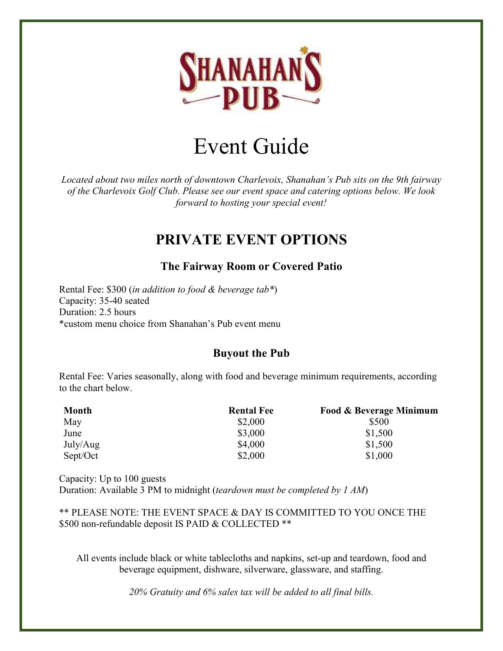

# Event Guide

*Located about two miles north of downtown Charlevoix, Shanahan's Pub sits on the 9th fairway of the Charlevoix Golf Club. Please see our event space and catering options below. We look forward to hosting your special event!*

# **PRIVATE EVENT OPTIONS**

# **The Fairway Room or Covered Patio**

Rental Fee: \$300 (*in addition to food & beverage tab\**) Capacity: 35-40 seated Duration: 2.5 hours \*custom menu choice from Shanahan's Pub event menu

# **Buyout the Pub**

Rental Fee: Varies seasonally, along with food and beverage minimum requirements, according to the chart below.

| <b>Month</b> | <b>Rental Fee</b> | <b>Food &amp; Beverage Minimum</b> |
|--------------|-------------------|------------------------------------|
| May          | \$2,000           | \$500                              |
| June         | \$3,000           | \$1,500                            |
| July/Aug     | \$4,000           | \$1,500                            |
| Sept/Oct     | \$2,000           | \$1,000                            |

Capacity: Up to 100 guests Duration: Available 3 PM to midnight (*teardown must be completed by 1 AM*)

\*\* PLEASE NOTE: THE EVENT SPACE & DAY IS COMMITTED TO YOU ONCE THE \$500 non-refundable deposit IS PAID & COLLECTED \*\*

All events include black or white tablecloths and napkins, set-up and teardown, food and beverage equipment, dishware, silverware, glassware, and staffing.

*20% Gratuity and 6% sales tax will be added to all final bills.*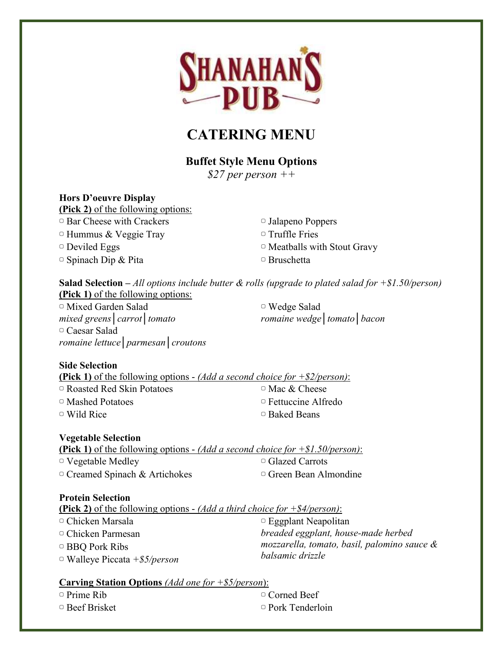

# **CATERING MENU**

# **Buffet Style Menu Options**

*\$27 per person ++*

#### **Hors D'oeuvre Display**

**(Pick 2)** of the following options: ▢ Bar Cheese with Crackers  $\circ$  Hummus & Veggie Tray ▢ Deviled Eggs ▢ Spinach Dip & Pita

▢ Jalapeno Poppers ▢ Truffle Fries ▢ Meatballs with Stout Gravy ▢ Bruschetta

**Salad Selection –** *All options include butter & rolls (upgrade to plated salad for +\$1.50/person)* **(Pick 1)** of the following options:

▢ Mixed Garden Salad *mixed greens│carrot│tomato* ▢ Caesar Salad *romaine lettuce│parmesan│croutons*

▢ Wedge Salad *romaine wedge│tomato│bacon*

#### **Side Selection**

**(Pick 1)** of the following options - *(Add a second choice for +\$2/person)*: ▢ Roasted Red Skin Potatoes ▢ Mashed Potatoes ▢ Wild Rice ▢ Mac & Cheese ▢ Fettuccine Alfredo ▢ Baked Beans

#### **Vegetable Selection**

| <b>(Pick 1)</b> of the following options - <i>(Add a second choice for</i> $+ $1.50/person)$ : |                              |
|------------------------------------------------------------------------------------------------|------------------------------|
| $\circ$ Vegetable Medley                                                                       | □ Glazed Carrots             |
| $\circ$ Creamed Spinach & Artichokes                                                           | $\circ$ Green Bean Almondine |

#### **Protein Selection**

| <b>(Pick 2)</b> of the following options - <i>(Add a third choice for</i> $+$ \$4/ <i>person)</i> : |                                                                 |
|-----------------------------------------------------------------------------------------------------|-----------------------------------------------------------------|
| $\circ$ Chicken Marsala                                                                             | $\circ$ Eggplant Neapolitan                                     |
| $\circ$ Chicken Parmesan                                                                            | breaded eggplant, house-made herbed                             |
| $\Box$ BBQ Pork Ribs                                                                                | mozzarella, tomato, basil, palomino sauce &<br>balsamic drizzle |
| $\circ$ Walleye Piccata +\$5/person                                                                 |                                                                 |
|                                                                                                     |                                                                 |

#### **Carving Station Options** *(Add one for +\$5/person*):

▢ Prime Rib

▢ Beef Brisket

▢ Corned Beef ▢ Pork Tenderloin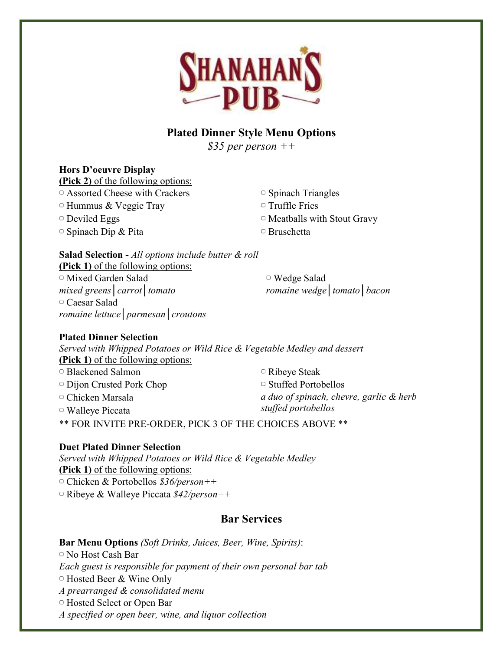

# **Plated Dinner Style Menu Options**

*\$35 per person ++*

## **Hors D'oeuvre Display**

**(Pick 2)** of the following options: ▢ Assorted Cheese with Crackers  $\circ$  Hummus & Veggie Tray

▢ Deviled Eggs

 $\circ$  Spinach Dip & Pita

▢ Spinach Triangles

▢ Truffle Fries

▢ Meatballs with Stout Gravy

▢ Bruschetta

**Salad Selection -** *All options include butter & roll* **(Pick 1)** of the following options:

▢ Mixed Garden Salad *mixed greens│carrot│tomato* ▢ Caesar Salad *romaine lettuce│parmesan│croutons*

▢ Wedge Salad *romaine wedge│tomato│bacon*

# **Plated Dinner Selection**

*Served with Whipped Potatoes or Wild Rice & Vegetable Medley and dessert* **(Pick 1)** of the following options:

▢ Blackened Salmon ▢ Dijon Crusted Pork Chop ▢ Chicken Marsala ▢ Walleye Piccata ▢ Ribeye Steak ▢ Stuffed Portobellos *a duo of spinach, chevre, garlic & herb stuffed portobellos* \*\* FOR INVITE PRE-ORDER, PICK 3 OF THE CHOICES ABOVE \*\*

# **Duet Plated Dinner Selection**

*Served with Whipped Potatoes or Wild Rice & Vegetable Medley* **(Pick 1)** of the following options: ▢ Chicken & Portobellos *\$36/person++* ▢ Ribeye & Walleye Piccata *\$42/person++*

# **Bar Services**

# **Bar Menu Options** *(Soft Drinks, Juices, Beer, Wine, Spirits)*:

▢ No Host Cash Bar *Each guest is responsible for payment of their own personal bar tab* ▢ Hosted Beer & Wine Only *A prearranged & consolidated menu* ▢ Hosted Select or Open Bar *A specified or open beer, wine, and liquor collection*